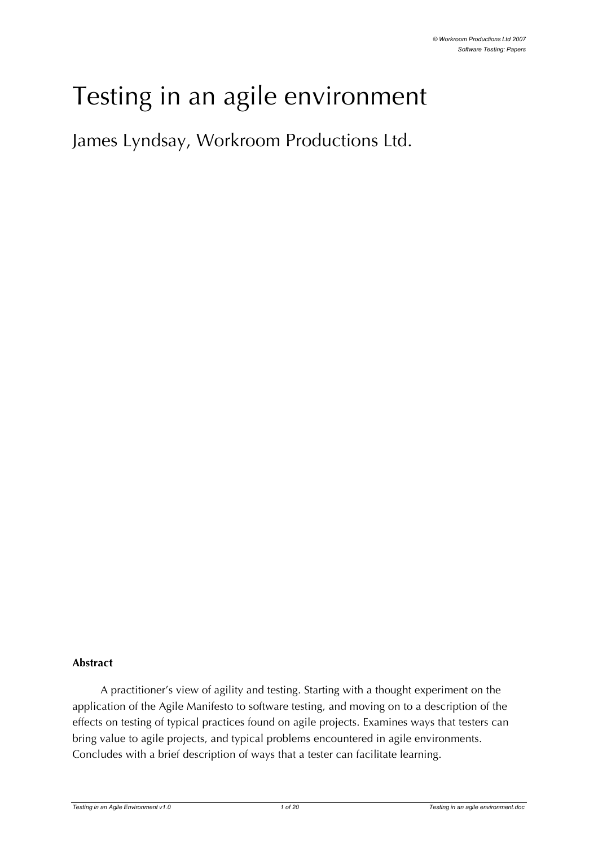# Testing in an agile environment

James Lyndsay, Workroom Productions Ltd.

#### **Abstract**

A practitioner's view of agility and testing. Starting with a thought experiment on the application of the Agile Manifesto to software testing, and moving on to a description of the effects on testing of typical practices found on agile projects. Examines ways that testers can bring value to agile projects, and typical problems encountered in agile environments. Concludes with a brief description of ways that a tester can facilitate learning.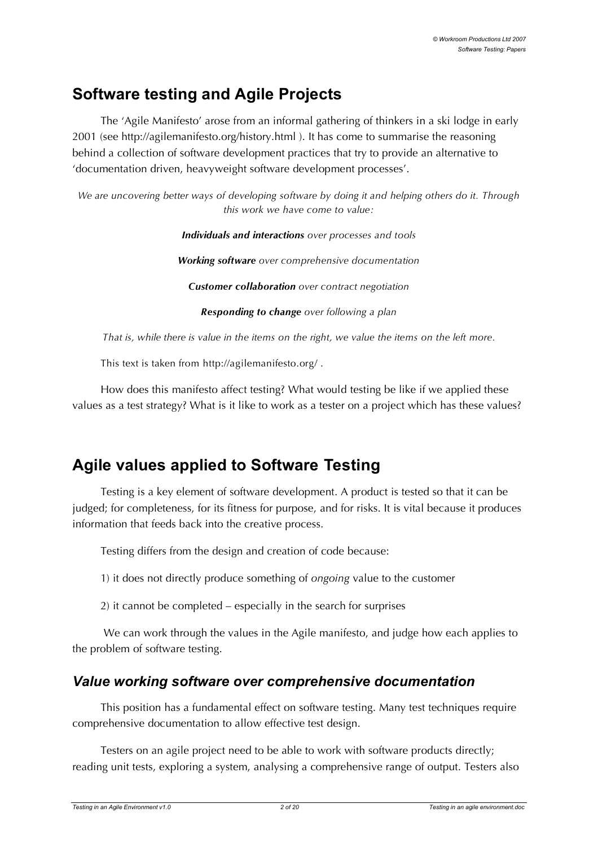# **Software testing and Agile Projects**

The 'Agile Manifesto' arose from an informal gathering of thinkers in a ski lodge in early 2001 (see http://agilemanifesto.org/history.html ). It has come to summarise the reasoning behind a collection of software development practices that try to provide an alternative to 'documentation driven, heavyweight software development processes'.

*We are uncovering better ways of developing software by doing it and helping others do it. Through this work we have come to value:*

> *Individuals and interactions over processes and tools Working software over comprehensive documentation Customer collaboration over contract negotiation Responding to change over following a plan*

That is, while there is value in the items on the right, we value the items on the left more.

This text is taken from http://agilemanifesto.org/ .

How does this manifesto affect testing? What would testing be like if we applied these values as a test strategy? What is it like to work as a tester on a project which has these values?

# **Agile values applied to Software Testing**

Testing is a key element of software development. A product is tested so that it can be judged; for completeness, for its fitness for purpose, and for risks. It is vital because it produces information that feeds back into the creative process.

Testing differs from the design and creation of code because:

1) it does not directly produce something of *ongoing* value to the customer

2) it cannot be completed – especially in the search for surprises

We can work through the values in the Agile manifesto, and judge how each applies to the problem of software testing.

# *Value working software over comprehensive documentation*

This position has a fundamental effect on software testing. Many test techniques require comprehensive documentation to allow effective test design.

Testers on an agile project need to be able to work with software products directly; reading unit tests, exploring a system, analysing a comprehensive range of output. Testers also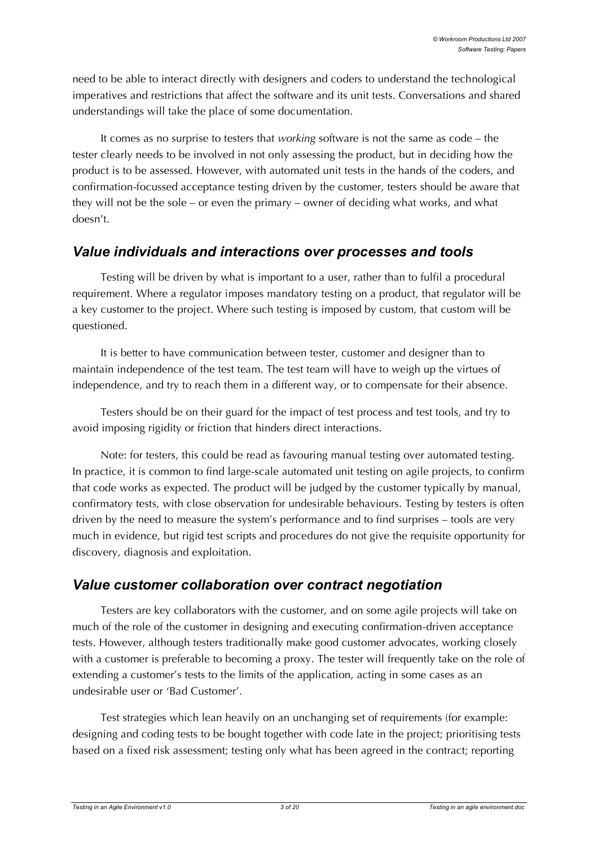need to be able to interact directly with designers and coders to understand the technological imperatives and restrictions that affect the software and its unit tests. Conversations and shared understandings will take the place of some documentation.

It comes as no surprise to testers that *working* software is not the same as code – the tester clearly needs to be involved in not only assessing the product, but in deciding how the product is to be assessed. However, with automated unit tests in the hands of the coders, and confirmation-focussed acceptance testing driven by the customer, testers should be aware that they will not be the sole – or even the primary – owner of deciding what works, and what doesn't.

### *Value individuals and interactions over processes and tools*

Testing will be driven by what is important to a user, rather than to fulfil a procedural requirement. Where a regulator imposes mandatory testing on a product, that regulator will be a key customer to the project. Where such testing is imposed by custom, that custom will be questioned.

It is better to have communication between tester, customer and designer than to maintain independence of the test team. The test team will have to weigh up the virtues of independence, and try to reach them in a different way, or to compensate for their absence.

Testers should be on their guard for the impact of test process and test tools, and try to avoid imposing rigidity or friction that hinders direct interactions.

Note: for testers, this could be read as favouring manual testing over automated testing. In practice, it is common to find large-scale automated unit testing on agile projects, to confirm that code works as expected. The product will be judged by the customer typically by manual, confirmatory tests, with close observation for undesirable behaviours. Testing by testers is often driven by the need to measure the system's performance and to find surprises – tools are very much in evidence, but rigid test scripts and procedures do not give the requisite opportunity for discovery, diagnosis and exploitation.

# *Value customer collaboration over contract negotiation*

Testers are key collaborators with the customer, and on some agile projects will take on much of the role of the customer in designing and executing confirmation-driven acceptance tests. However, although testers traditionally make good customer advocates, working closely with a customer is preferable to becoming a proxy. The tester will frequently take on the role of extending a customer's tests to the limits of the application, acting in some cases as an undesirable user or 'Bad Customer'.

Test strategies which lean heavily on an unchanging set of requirements (for example: designing and coding tests to be bought together with code late in the project; prioritising tests based on a fixed risk assessment; testing only what has been agreed in the contract; reporting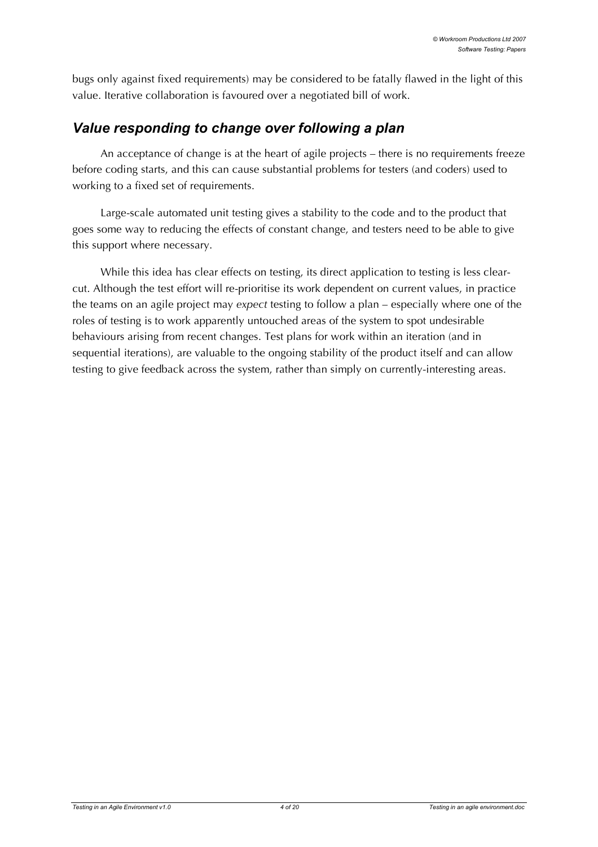bugs only against fixed requirements) may be considered to be fatally flawed in the light of this value. Iterative collaboration is favoured over a negotiated bill of work.

# *Value responding to change over following a plan*

An acceptance of change is at the heart of agile projects – there is no requirements freeze before coding starts, and this can cause substantial problems for testers (and coders) used to working to a fixed set of requirements.

Large-scale automated unit testing gives a stability to the code and to the product that goes some way to reducing the effects of constant change, and testers need to be able to give this support where necessary.

While this idea has clear effects on testing, its direct application to testing is less clearcut. Although the test effort will re-prioritise its work dependent on current values, in practice the teams on an agile project may *expect* testing to follow a plan – especially where one of the roles of testing is to work apparently untouched areas of the system to spot undesirable behaviours arising from recent changes. Test plans for work within an iteration (and in sequential iterations), are valuable to the ongoing stability of the product itself and can allow testing to give feedback across the system, rather than simply on currently-interesting areas.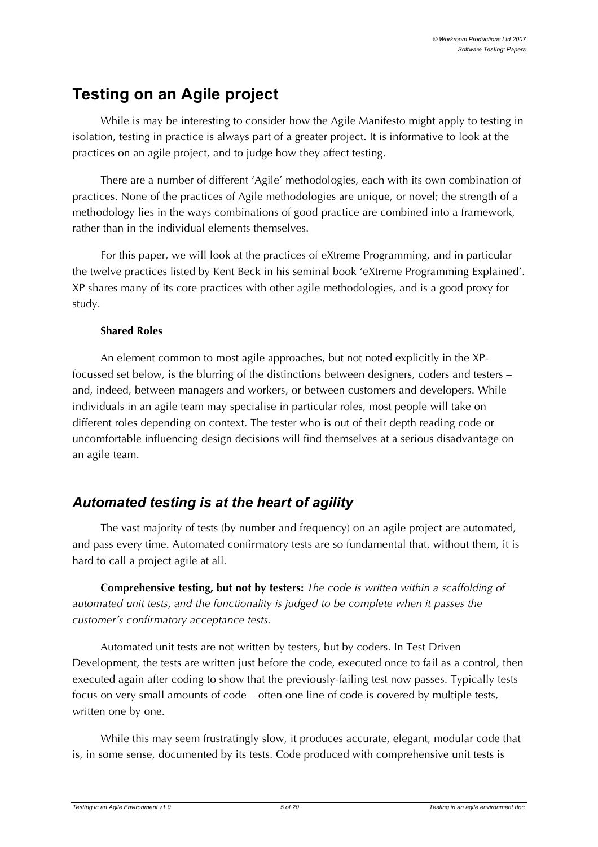# **Testing on an Agile project**

While is may be interesting to consider how the Agile Manifesto might apply to testing in isolation, testing in practice is always part of a greater project. It is informative to look at the practices on an agile project, and to judge how they affect testing.

There are a number of different 'Agile' methodologies, each with its own combination of practices. None of the practices of Agile methodologies are unique, or novel; the strength of a methodology lies in the ways combinations of good practice are combined into a framework, rather than in the individual elements themselves.

For this paper, we will look at the practices of eXtreme Programming, and in particular the twelve practices listed by Kent Beck in his seminal book 'eXtreme Programming Explained'. XP shares many of its core practices with other agile methodologies, and is a good proxy for study.

#### **Shared Roles**

An element common to most agile approaches, but not noted explicitly in the XPfocussed set below, is the blurring of the distinctions between designers, coders and testers – and, indeed, between managers and workers, or between customers and developers. While individuals in an agile team may specialise in particular roles, most people will take on different roles depending on context. The tester who is out of their depth reading code or uncomfortable influencing design decisions will find themselves at a serious disadvantage on an agile team.

# *Automated testing is at the heart of agility*

The vast majority of tests (by number and frequency) on an agile project are automated, and pass every time. Automated confirmatory tests are so fundamental that, without them, it is hard to call a project agile at all.

**Comprehensive testing, but not by testers:** *The code is written within a scaffolding of automated unit tests, and the functionality is judged to be complete when it passes the customer's confirmatory acceptance tests.*

Automated unit tests are not written by testers, but by coders. In Test Driven Development, the tests are written just before the code, executed once to fail as a control, then executed again after coding to show that the previously-failing test now passes. Typically tests focus on very small amounts of code – often one line of code is covered by multiple tests, written one by one.

While this may seem frustratingly slow, it produces accurate, elegant, modular code that is, in some sense, documented by its tests. Code produced with comprehensive unit tests is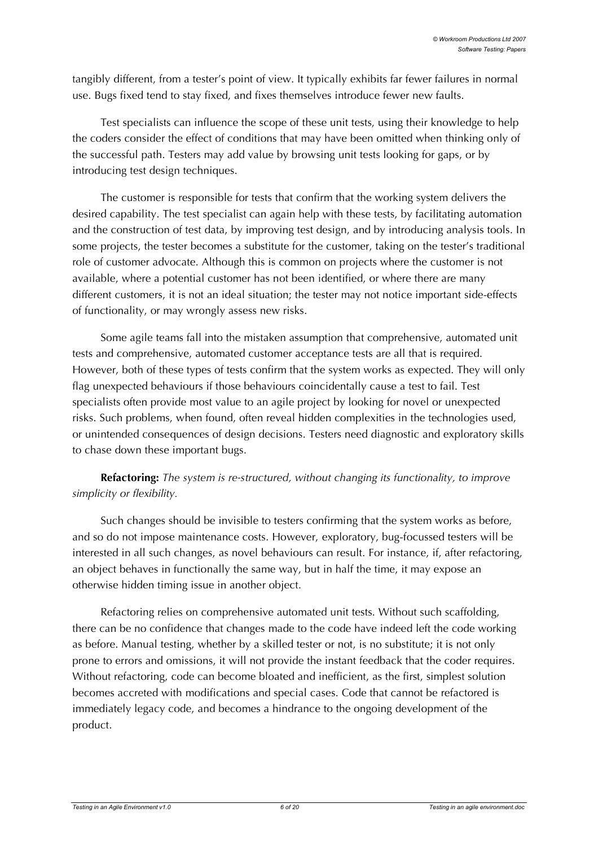tangibly different, from a tester's point of view. It typically exhibits far fewer failures in normal use. Bugs fixed tend to stay fixed, and fixes themselves introduce fewer new faults.

Test specialists can influence the scope of these unit tests, using their knowledge to help the coders consider the effect of conditions that may have been omitted when thinking only of the successful path. Testers may add value by browsing unit tests looking for gaps, or by introducing test design techniques.

The customer is responsible for tests that confirm that the working system delivers the desired capability. The test specialist can again help with these tests, by facilitating automation and the construction of test data, by improving test design, and by introducing analysis tools. In some projects, the tester becomes a substitute for the customer, taking on the tester's traditional role of customer advocate. Although this is common on projects where the customer is not available, where a potential customer has not been identified, or where there are many different customers, it is not an ideal situation; the tester may not notice important side-effects of functionality, or may wrongly assess new risks.

Some agile teams fall into the mistaken assumption that comprehensive, automated unit tests and comprehensive, automated customer acceptance tests are all that is required. However, both of these types of tests confirm that the system works as expected. They will only flag unexpected behaviours if those behaviours coincidentally cause a test to fail. Test specialists often provide most value to an agile project by looking for novel or unexpected risks. Such problems, when found, often reveal hidden complexities in the technologies used, or unintended consequences of design decisions. Testers need diagnostic and exploratory skills to chase down these important bugs.

#### **Refactoring:** *The system is re-structured, without changing its functionality, to improve simplicity or flexibility.*

Such changes should be invisible to testers confirming that the system works as before, and so do not impose maintenance costs. However, exploratory, bug-focussed testers will be interested in all such changes, as novel behaviours can result. For instance, if, after refactoring, an object behaves in functionally the same way, but in half the time, it may expose an otherwise hidden timing issue in another object.

Refactoring relies on comprehensive automated unit tests. Without such scaffolding, there can be no confidence that changes made to the code have indeed left the code working as before. Manual testing, whether by a skilled tester or not, is no substitute; it is not only prone to errors and omissions, it will not provide the instant feedback that the coder requires. Without refactoring, code can become bloated and inefficient, as the first, simplest solution becomes accreted with modifications and special cases. Code that cannot be refactored is immediately legacy code, and becomes a hindrance to the ongoing development of the product.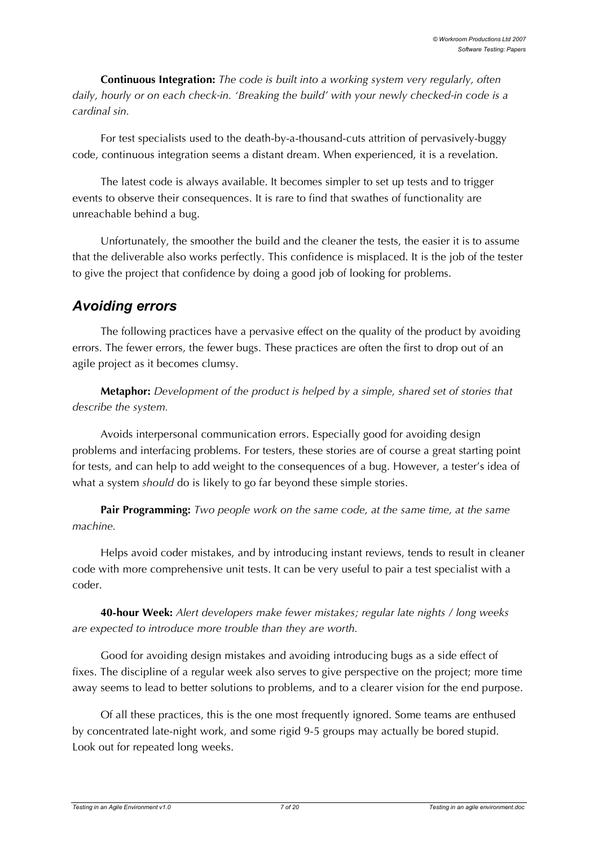**Continuous Integration:** *The code is built into a working system very regularly, often daily, hourly or on each check-in. 'Breaking the build' with your newly checked-in code is a cardinal sin.*

For test specialists used to the death-by-a-thousand-cuts attrition of pervasively-buggy code, continuous integration seems a distant dream. When experienced, it is a revelation.

The latest code is always available. It becomes simpler to set up tests and to trigger events to observe their consequences. It is rare to find that swathes of functionality are unreachable behind a bug.

Unfortunately, the smoother the build and the cleaner the tests, the easier it is to assume that the deliverable also works perfectly. This confidence is misplaced. It is the job of the tester to give the project that confidence by doing a good job of looking for problems.

# *Avoiding errors*

The following practices have a pervasive effect on the quality of the product by avoiding errors. The fewer errors, the fewer bugs. These practices are often the first to drop out of an agile project as it becomes clumsy.

**Metaphor:** *Development of the product is helped by a simple, shared set of stories that describe the system.*

Avoids interpersonal communication errors. Especially good for avoiding design problems and interfacing problems. For testers, these stories are of course a great starting point for tests, and can help to add weight to the consequences of a bug. However, a tester's idea of what a system *should* do is likely to go far beyond these simple stories.

**Pair Programming:** *Two people work on the same code, at the same time, at the same machine.*

Helps avoid coder mistakes, and by introducing instant reviews, tends to result in cleaner code with more comprehensive unit tests. It can be very useful to pair a test specialist with a coder.

**40-hour Week:** *Alert developers make fewer mistakes; regular late nights / long weeks are expected to introduce more trouble than they are worth.*

Good for avoiding design mistakes and avoiding introducing bugs as a side effect of fixes. The discipline of a regular week also serves to give perspective on the project; more time away seems to lead to better solutions to problems, and to a clearer vision for the end purpose.

Of all these practices, this is the one most frequently ignored. Some teams are enthused by concentrated late-night work, and some rigid 9-5 groups may actually be bored stupid. Look out for repeated long weeks.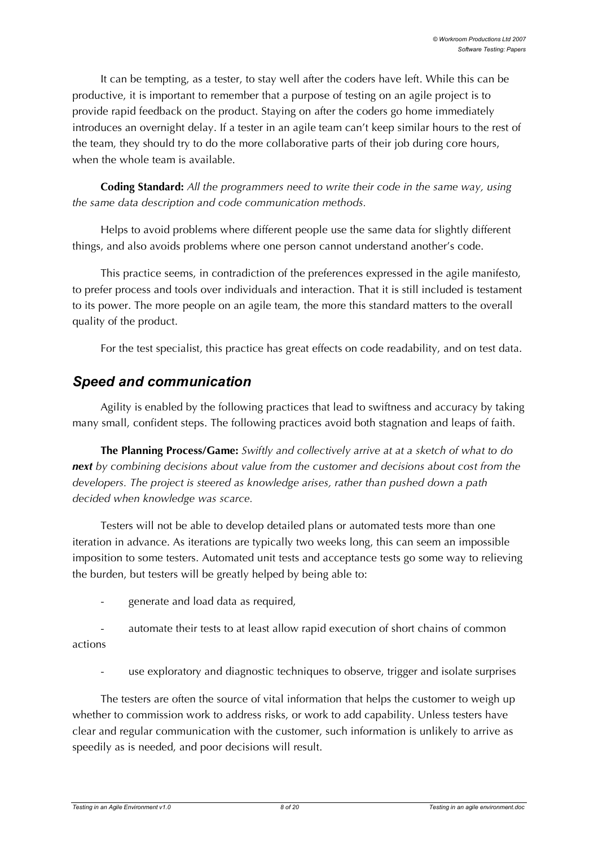It can be tempting, as a tester, to stay well after the coders have left. While this can be productive, it is important to remember that a purpose of testing on an agile project is to provide rapid feedback on the product. Staying on after the coders go home immediately introduces an overnight delay. If a tester in an agile team can't keep similar hours to the rest of the team, they should try to do the more collaborative parts of their job during core hours, when the whole team is available.

**Coding Standard:** *All the programmers need to write their code in the same way, using the same data description and code communication methods.*

Helps to avoid problems where different people use the same data for slightly different things, and also avoids problems where one person cannot understand another's code.

This practice seems, in contradiction of the preferences expressed in the agile manifesto, to prefer process and tools over individuals and interaction. That it is still included is testament to its power. The more people on an agile team, the more this standard matters to the overall quality of the product.

For the test specialist, this practice has great effects on code readability, and on test data.

# *Speed and communication*

Agility is enabled by the following practices that lead to swiftness and accuracy by taking many small, confident steps. The following practices avoid both stagnation and leaps of faith.

**The Planning Process/Game:** *Swiftly and collectively arrive at at a sketch of what to do next by combining decisions about value from the customer and decisions about cost from the developers. The project is steered as knowledge arises, rather than pushed down a path decided when knowledge was scarce.*

Testers will not be able to develop detailed plans or automated tests more than one iteration in advance. As iterations are typically two weeks long, this can seem an impossible imposition to some testers. Automated unit tests and acceptance tests go some way to relieving the burden, but testers will be greatly helped by being able to:

- generate and load data as required,
- automate their tests to at least allow rapid execution of short chains of common actions
	- use exploratory and diagnostic techniques to observe, trigger and isolate surprises

The testers are often the source of vital information that helps the customer to weigh up whether to commission work to address risks, or work to add capability. Unless testers have clear and regular communication with the customer, such information is unlikely to arrive as speedily as is needed, and poor decisions will result.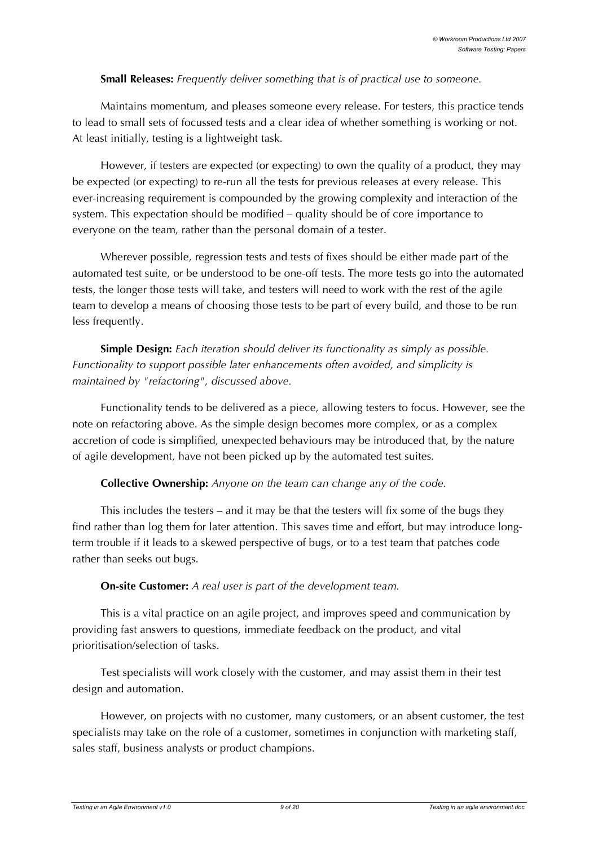#### **Small Releases:** *Frequently deliver something that is of practical use to someone.*

Maintains momentum, and pleases someone every release. For testers, this practice tends to lead to small sets of focussed tests and a clear idea of whether something is working or not. At least initially, testing is a lightweight task.

However, if testers are expected (or expecting) to own the quality of a product, they may be expected (or expecting) to re-run all the tests for previous releases at every release. This ever-increasing requirement is compounded by the growing complexity and interaction of the system. This expectation should be modified – quality should be of core importance to everyone on the team, rather than the personal domain of a tester.

Wherever possible, regression tests and tests of fixes should be either made part of the automated test suite, or be understood to be one-off tests. The more tests go into the automated tests, the longer those tests will take, and testers will need to work with the rest of the agile team to develop a means of choosing those tests to be part of every build, and those to be run less frequently.

**Simple Design:** *Each iteration should deliver its functionality as simply as possible. Functionality to support possible later enhancements often avoided, and simplicity is maintained by "refactoring", discussed above.*

Functionality tends to be delivered as a piece, allowing testers to focus. However, see the note on refactoring above. As the simple design becomes more complex, or as a complex accretion of code is simplified, unexpected behaviours may be introduced that, by the nature of agile development, have not been picked up by the automated test suites.

#### **Collective Ownership:** *Anyone on the team can change any of the code.*

This includes the testers – and it may be that the testers will fix some of the bugs they find rather than log them for later attention. This saves time and effort, but may introduce longterm trouble if it leads to a skewed perspective of bugs, or to a test team that patches code rather than seeks out bugs.

#### **On-site Customer:** *A real user is part of the development team.*

This is a vital practice on an agile project, and improves speed and communication by providing fast answers to questions, immediate feedback on the product, and vital prioritisation/selection of tasks.

Test specialists will work closely with the customer, and may assist them in their test design and automation.

However, on projects with no customer, many customers, or an absent customer, the test specialists may take on the role of a customer, sometimes in conjunction with marketing staff, sales staff, business analysts or product champions.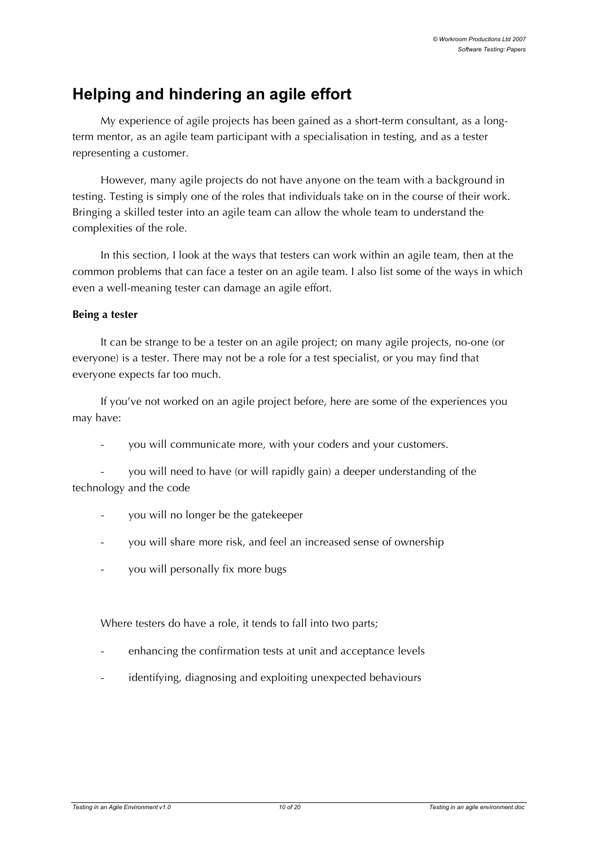# **Helping and hindering an agile effort**

My experience of agile projects has been gained as a short-term consultant, as a longterm mentor, as an agile team participant with a specialisation in testing, and as a tester representing a customer.

However, many agile projects do not have anyone on the team with a background in testing. Testing is simply one of the roles that individuals take on in the course of their work. Bringing a skilled tester into an agile team can allow the whole team to understand the complexities of the role.

In this section, I look at the ways that testers can work within an agile team, then at the common problems that can face a tester on an agile team. I also list some of the ways in which even a well-meaning tester can damage an agile effort.

#### **Being a tester**

It can be strange to be a tester on an agile project; on many agile projects, no-one (or everyone) is a tester. There may not be a role for a test specialist, or you may find that everyone expects far too much.

If you've not worked on an agile project before, here are some of the experiences you may have:

you will communicate more, with your coders and your customers.

- you will need to have (or will rapidly gain) a deeper understanding of the technology and the code

- you will no longer be the gatekeeper
- you will share more risk, and feel an increased sense of ownership
- you will personally fix more bugs

Where testers do have a role, it tends to fall into two parts;

- enhancing the confirmation tests at unit and acceptance levels
- identifying, diagnosing and exploiting unexpected behaviours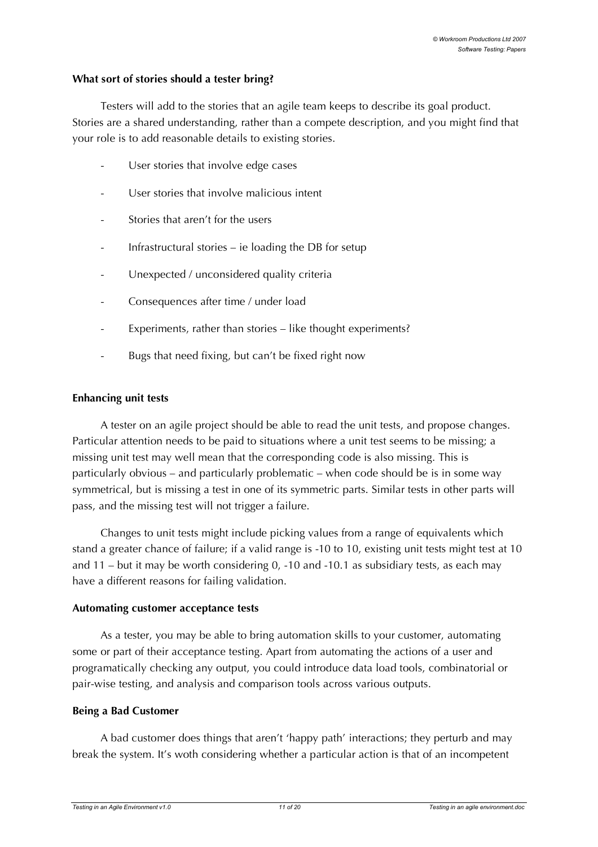#### **What sort of stories should a tester bring?**

Testers will add to the stories that an agile team keeps to describe its goal product. Stories are a shared understanding, rather than a compete description, and you might find that your role is to add reasonable details to existing stories.

- User stories that involve edge cases
- User stories that involve malicious intent
- Stories that aren't for the users
- Infrastructural stories  $-$  ie loading the DB for setup
- Unexpected / unconsidered quality criteria
- Consequences after time / under load
- Experiments, rather than stories like thought experiments?
- Bugs that need fixing, but can't be fixed right now

#### **Enhancing unit tests**

A tester on an agile project should be able to read the unit tests, and propose changes. Particular attention needs to be paid to situations where a unit test seems to be missing; a missing unit test may well mean that the corresponding code is also missing. This is particularly obvious – and particularly problematic – when code should be is in some way symmetrical, but is missing a test in one of its symmetric parts. Similar tests in other parts will pass, and the missing test will not trigger a failure.

Changes to unit tests might include picking values from a range of equivalents which stand a greater chance of failure; if a valid range is -10 to 10, existing unit tests might test at 10 and 11 – but it may be worth considering 0, -10 and -10.1 as subsidiary tests, as each may have a different reasons for failing validation.

#### **Automating customer acceptance tests**

As a tester, you may be able to bring automation skills to your customer, automating some or part of their acceptance testing. Apart from automating the actions of a user and programatically checking any output, you could introduce data load tools, combinatorial or pair-wise testing, and analysis and comparison tools across various outputs.

#### **Being a Bad Customer**

A bad customer does things that aren't 'happy path' interactions; they perturb and may break the system. It's woth considering whether a particular action is that of an incompetent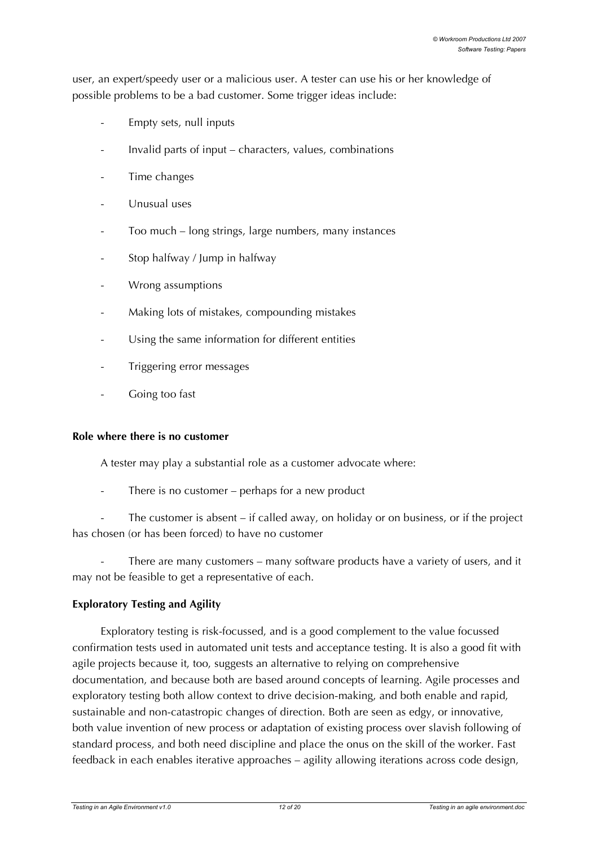user, an expert/speedy user or a malicious user. A tester can use his or her knowledge of possible problems to be a bad customer. Some trigger ideas include:

- Empty sets, null inputs
- Invalid parts of input characters, values, combinations
- Time changes
- Unusual uses
- Too much long strings, large numbers, many instances
- Stop halfway / Jump in halfway
- Wrong assumptions
- Making lots of mistakes, compounding mistakes
- Using the same information for different entities
- Triggering error messages
- Going too fast

#### **Role where there is no customer**

A tester may play a substantial role as a customer advocate where:

There is no customer – perhaps for a new product

The customer is absent  $-$  if called away, on holiday or on business, or if the project has chosen (or has been forced) to have no customer

There are many customers – many software products have a variety of users, and it may not be feasible to get a representative of each.

#### **Exploratory Testing and Agility**

Exploratory testing is risk-focussed, and is a good complement to the value focussed confirmation tests used in automated unit tests and acceptance testing. It is also a good fit with agile projects because it, too, suggests an alternative to relying on comprehensive documentation, and because both are based around concepts of learning. Agile processes and exploratory testing both allow context to drive decision-making, and both enable and rapid, sustainable and non-catastropic changes of direction. Both are seen as edgy, or innovative, both value invention of new process or adaptation of existing process over slavish following of standard process, and both need discipline and place the onus on the skill of the worker. Fast feedback in each enables iterative approaches – agility allowing iterations across code design,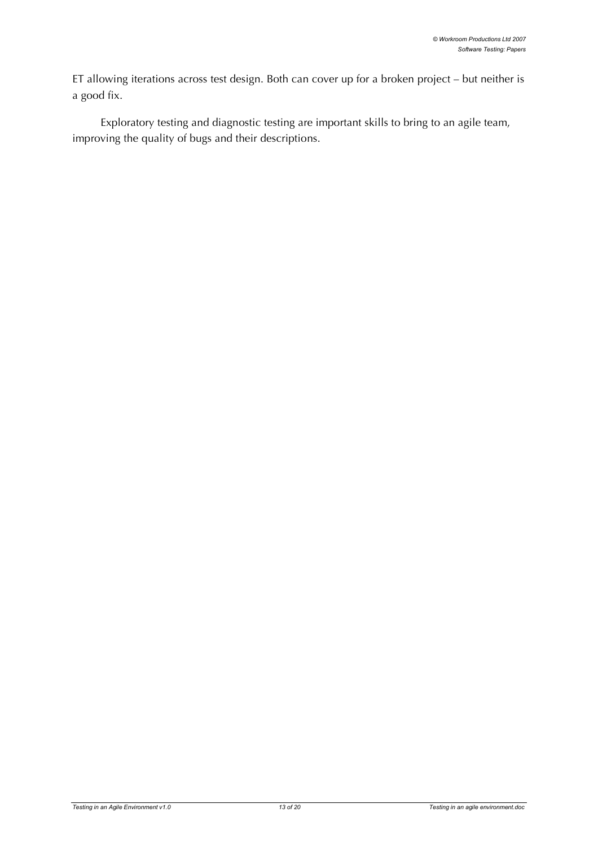ET allowing iterations across test design. Both can cover up for a broken project – but neither is a good fix.

Exploratory testing and diagnostic testing are important skills to bring to an agile team, improving the quality of bugs and their descriptions.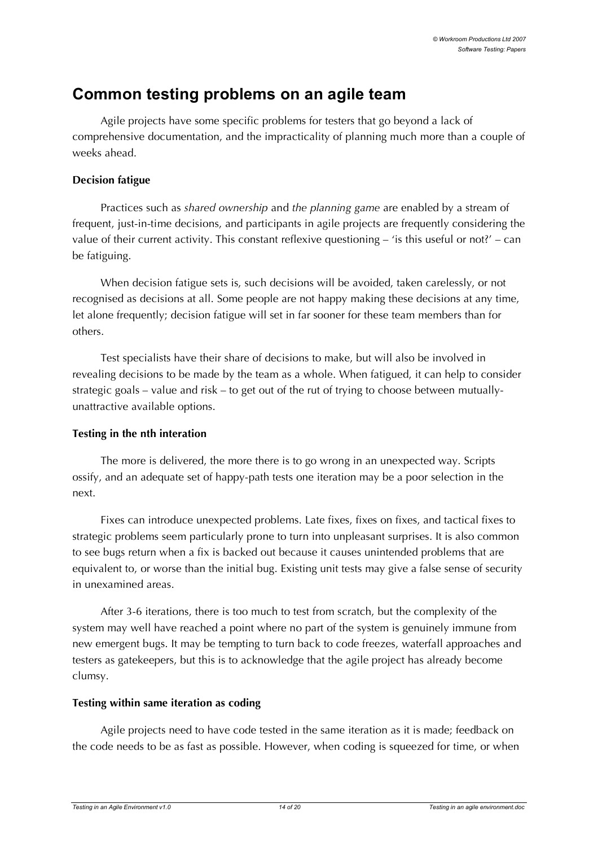# **Common testing problems on an agile team**

Agile projects have some specific problems for testers that go beyond a lack of comprehensive documentation, and the impracticality of planning much more than a couple of weeks ahead.

#### **Decision fatigue**

Practices such as *shared ownership* and *the planning game* are enabled by a stream of frequent, just-in-time decisions, and participants in agile projects are frequently considering the value of their current activity. This constant reflexive questioning – 'is this useful or not?' – can be fatiguing.

When decision fatigue sets is, such decisions will be avoided, taken carelessly, or not recognised as decisions at all. Some people are not happy making these decisions at any time, let alone frequently; decision fatigue will set in far sooner for these team members than for others.

Test specialists have their share of decisions to make, but will also be involved in revealing decisions to be made by the team as a whole. When fatigued, it can help to consider strategic goals – value and risk – to get out of the rut of trying to choose between mutuallyunattractive available options.

#### **Testing in the nth interation**

The more is delivered, the more there is to go wrong in an unexpected way. Scripts ossify, and an adequate set of happy-path tests one iteration may be a poor selection in the next.

Fixes can introduce unexpected problems. Late fixes, fixes on fixes, and tactical fixes to strategic problems seem particularly prone to turn into unpleasant surprises. It is also common to see bugs return when a fix is backed out because it causes unintended problems that are equivalent to, or worse than the initial bug. Existing unit tests may give a false sense of security in unexamined areas.

After 3-6 iterations, there is too much to test from scratch, but the complexity of the system may well have reached a point where no part of the system is genuinely immune from new emergent bugs. It may be tempting to turn back to code freezes, waterfall approaches and testers as gatekeepers, but this is to acknowledge that the agile project has already become clumsy.

#### **Testing within same iteration as coding**

Agile projects need to have code tested in the same iteration as it is made; feedback on the code needs to be as fast as possible. However, when coding is squeezed for time, or when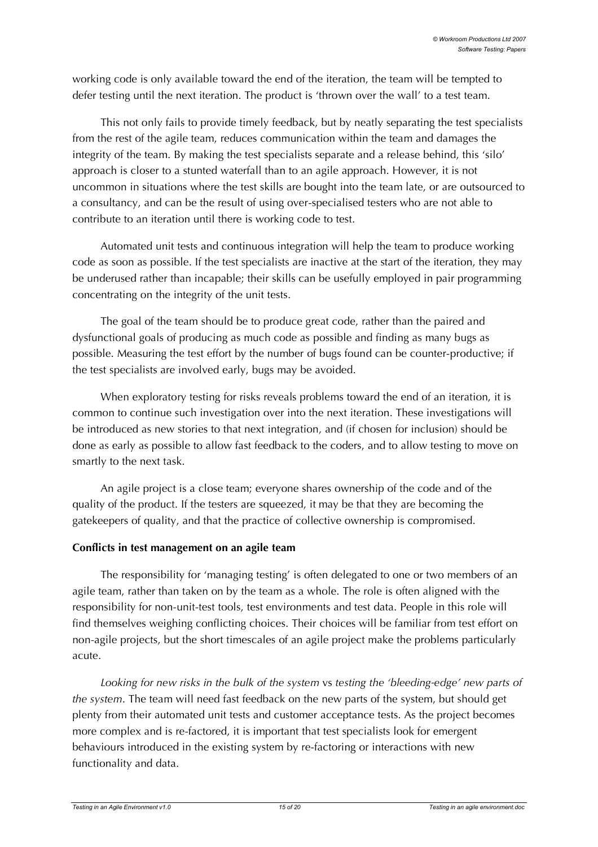working code is only available toward the end of the iteration, the team will be tempted to defer testing until the next iteration. The product is 'thrown over the wall' to a test team.

This not only fails to provide timely feedback, but by neatly separating the test specialists from the rest of the agile team, reduces communication within the team and damages the integrity of the team. By making the test specialists separate and a release behind, this 'silo' approach is closer to a stunted waterfall than to an agile approach. However, it is not uncommon in situations where the test skills are bought into the team late, or are outsourced to a consultancy, and can be the result of using over-specialised testers who are not able to contribute to an iteration until there is working code to test.

Automated unit tests and continuous integration will help the team to produce working code as soon as possible. If the test specialists are inactive at the start of the iteration, they may be underused rather than incapable; their skills can be usefully employed in pair programming concentrating on the integrity of the unit tests.

The goal of the team should be to produce great code, rather than the paired and dysfunctional goals of producing as much code as possible and finding as many bugs as possible. Measuring the test effort by the number of bugs found can be counter-productive; if the test specialists are involved early, bugs may be avoided.

When exploratory testing for risks reveals problems toward the end of an iteration, it is common to continue such investigation over into the next iteration. These investigations will be introduced as new stories to that next integration, and (if chosen for inclusion) should be done as early as possible to allow fast feedback to the coders, and to allow testing to move on smartly to the next task.

An agile project is a close team; everyone shares ownership of the code and of the quality of the product. If the testers are squeezed, it may be that they are becoming the gatekeepers of quality, and that the practice of collective ownership is compromised.

#### **Conflicts in test management on an agile team**

The responsibility for 'managing testing' is often delegated to one or two members of an agile team, rather than taken on by the team as a whole. The role is often aligned with the responsibility for non-unit-test tools, test environments and test data. People in this role will find themselves weighing conflicting choices. Their choices will be familiar from test effort on non-agile projects, but the short timescales of an agile project make the problems particularly acute.

*Looking for new risks in the bulk of the system* vs *testing the 'bleeding-edge' new parts of the system*. The team will need fast feedback on the new parts of the system, but should get plenty from their automated unit tests and customer acceptance tests. As the project becomes more complex and is re-factored, it is important that test specialists look for emergent behaviours introduced in the existing system by re-factoring or interactions with new functionality and data.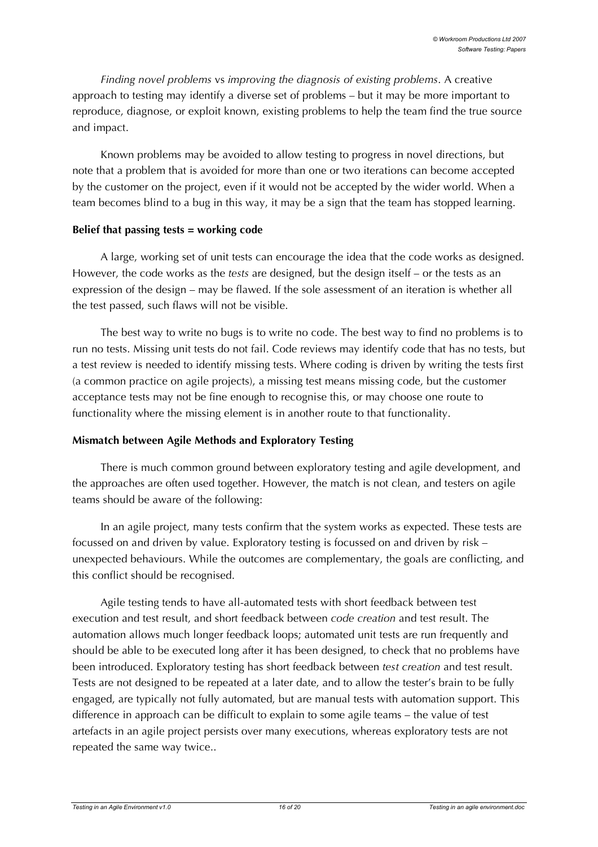*Finding novel problems* vs *improving the diagnosis of existing problems*. A creative approach to testing may identify a diverse set of problems – but it may be more important to reproduce, diagnose, or exploit known, existing problems to help the team find the true source and impact.

Known problems may be avoided to allow testing to progress in novel directions, but note that a problem that is avoided for more than one or two iterations can become accepted by the customer on the project, even if it would not be accepted by the wider world. When a team becomes blind to a bug in this way, it may be a sign that the team has stopped learning.

#### **Belief that passing tests = working code**

A large, working set of unit tests can encourage the idea that the code works as designed. However, the code works as the *tests* are designed, but the design itself – or the tests as an expression of the design – may be flawed. If the sole assessment of an iteration is whether all the test passed, such flaws will not be visible.

The best way to write no bugs is to write no code. The best way to find no problems is to run no tests. Missing unit tests do not fail. Code reviews may identify code that has no tests, but a test review is needed to identify missing tests. Where coding is driven by writing the tests first (a common practice on agile projects), a missing test means missing code, but the customer acceptance tests may not be fine enough to recognise this, or may choose one route to functionality where the missing element is in another route to that functionality.

#### **Mismatch between Agile Methods and Exploratory Testing**

There is much common ground between exploratory testing and agile development, and the approaches are often used together. However, the match is not clean, and testers on agile teams should be aware of the following:

In an agile project, many tests confirm that the system works as expected. These tests are focussed on and driven by value. Exploratory testing is focussed on and driven by risk – unexpected behaviours. While the outcomes are complementary, the goals are conflicting, and this conflict should be recognised.

Agile testing tends to have all-automated tests with short feedback between test execution and test result, and short feedback between *code creation* and test result. The automation allows much longer feedback loops; automated unit tests are run frequently and should be able to be executed long after it has been designed, to check that no problems have been introduced. Exploratory testing has short feedback between *test creation* and test result. Tests are not designed to be repeated at a later date, and to allow the tester's brain to be fully engaged, are typically not fully automated, but are manual tests with automation support. This difference in approach can be difficult to explain to some agile teams – the value of test artefacts in an agile project persists over many executions, whereas exploratory tests are not repeated the same way twice..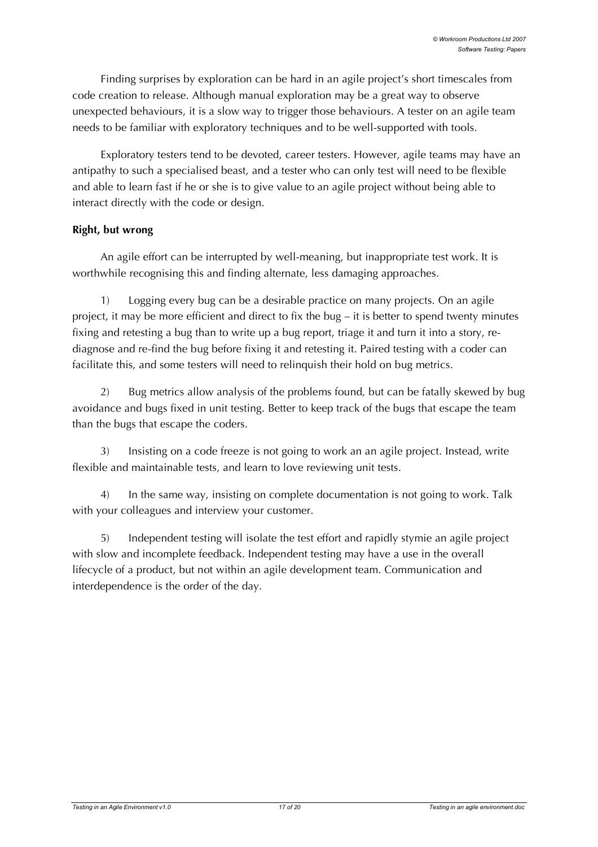Finding surprises by exploration can be hard in an agile project's short timescales from code creation to release. Although manual exploration may be a great way to observe unexpected behaviours, it is a slow way to trigger those behaviours. A tester on an agile team needs to be familiar with exploratory techniques and to be well-supported with tools.

Exploratory testers tend to be devoted, career testers. However, agile teams may have an antipathy to such a specialised beast, and a tester who can only test will need to be flexible and able to learn fast if he or she is to give value to an agile project without being able to interact directly with the code or design.

#### **Right, but wrong**

An agile effort can be interrupted by well-meaning, but inappropriate test work. It is worthwhile recognising this and finding alternate, less damaging approaches.

1) Logging every bug can be a desirable practice on many projects. On an agile project, it may be more efficient and direct to fix the bug – it is better to spend twenty minutes fixing and retesting a bug than to write up a bug report, triage it and turn it into a story, rediagnose and re-find the bug before fixing it and retesting it. Paired testing with a coder can facilitate this, and some testers will need to relinquish their hold on bug metrics.

2) Bug metrics allow analysis of the problems found, but can be fatally skewed by bug avoidance and bugs fixed in unit testing. Better to keep track of the bugs that escape the team than the bugs that escape the coders.

3) Insisting on a code freeze is not going to work an an agile project. Instead, write flexible and maintainable tests, and learn to love reviewing unit tests.

4) In the same way, insisting on complete documentation is not going to work. Talk with your colleagues and interview your customer.

5) Independent testing will isolate the test effort and rapidly stymie an agile project with slow and incomplete feedback. Independent testing may have a use in the overall lifecycle of a product, but not within an agile development team. Communication and interdependence is the order of the day.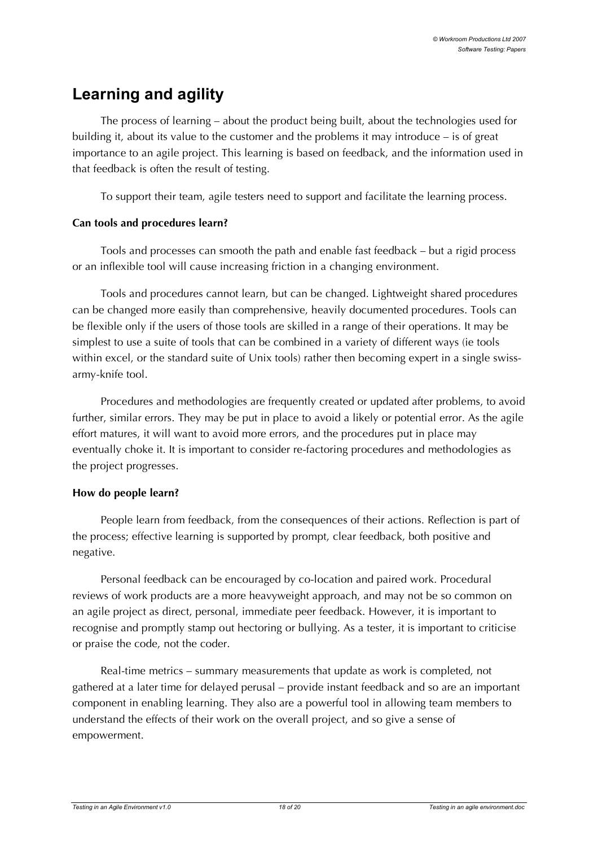# **Learning and agility**

The process of learning – about the product being built, about the technologies used for building it, about its value to the customer and the problems it may introduce – is of great importance to an agile project. This learning is based on feedback, and the information used in that feedback is often the result of testing.

To support their team, agile testers need to support and facilitate the learning process.

#### **Can tools and procedures learn?**

Tools and processes can smooth the path and enable fast feedback – but a rigid process or an inflexible tool will cause increasing friction in a changing environment.

Tools and procedures cannot learn, but can be changed. Lightweight shared procedures can be changed more easily than comprehensive, heavily documented procedures. Tools can be flexible only if the users of those tools are skilled in a range of their operations. It may be simplest to use a suite of tools that can be combined in a variety of different ways (ie tools within excel, or the standard suite of Unix tools) rather then becoming expert in a single swissarmy-knife tool.

Procedures and methodologies are frequently created or updated after problems, to avoid further, similar errors. They may be put in place to avoid a likely or potential error. As the agile effort matures, it will want to avoid more errors, and the procedures put in place may eventually choke it. It is important to consider re-factoring procedures and methodologies as the project progresses.

#### **How do people learn?**

People learn from feedback, from the consequences of their actions. Reflection is part of the process; effective learning is supported by prompt, clear feedback, both positive and negative.

Personal feedback can be encouraged by co-location and paired work. Procedural reviews of work products are a more heavyweight approach, and may not be so common on an agile project as direct, personal, immediate peer feedback. However, it is important to recognise and promptly stamp out hectoring or bullying. As a tester, it is important to criticise or praise the code, not the coder.

Real-time metrics – summary measurements that update as work is completed, not gathered at a later time for delayed perusal – provide instant feedback and so are an important component in enabling learning. They also are a powerful tool in allowing team members to understand the effects of their work on the overall project, and so give a sense of empowerment.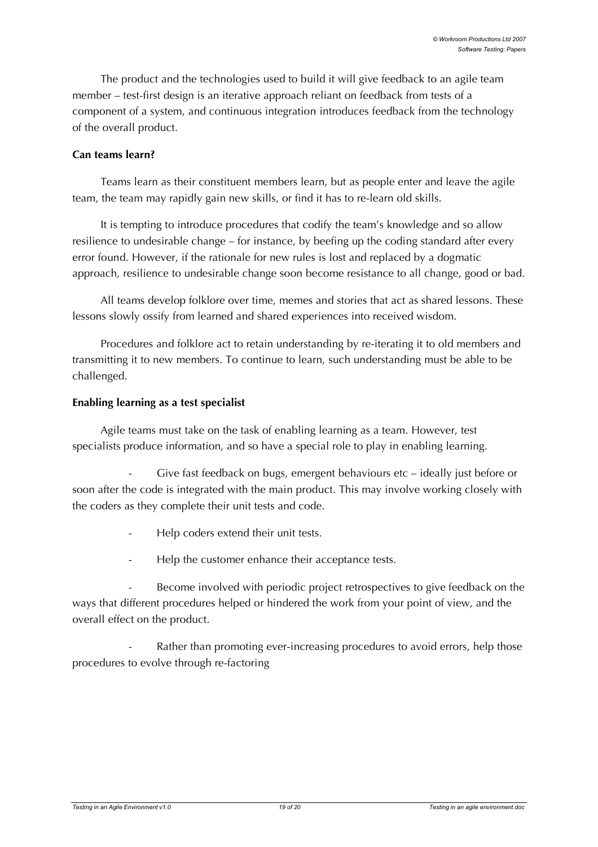The product and the technologies used to build it will give feedback to an agile team member – test-first design is an iterative approach reliant on feedback from tests of a component of a system, and continuous integration introduces feedback from the technology of the overall product.

#### **Can teams learn?**

Teams learn as their constituent members learn, but as people enter and leave the agile team, the team may rapidly gain new skills, or find it has to re-learn old skills.

It is tempting to introduce procedures that codify the team's knowledge and so allow resilience to undesirable change – for instance, by beefing up the coding standard after every error found. However, if the rationale for new rules is lost and replaced by a dogmatic approach, resilience to undesirable change soon become resistance to all change, good or bad.

All teams develop folklore over time, memes and stories that act as shared lessons. These lessons slowly ossify from learned and shared experiences into received wisdom.

Procedures and folklore act to retain understanding by re-iterating it to old members and transmitting it to new members. To continue to learn, such understanding must be able to be challenged.

#### **Enabling learning as a test specialist**

Agile teams must take on the task of enabling learning as a team. However, test specialists produce information, and so have a special role to play in enabling learning.

Give fast feedback on bugs, emergent behaviours etc – ideally just before or soon after the code is integrated with the main product. This may involve working closely with the coders as they complete their unit tests and code.

- Help coders extend their unit tests.
- Help the customer enhance their acceptance tests.

Become involved with periodic project retrospectives to give feedback on the ways that different procedures helped or hindered the work from your point of view, and the overall effect on the product.

Rather than promoting ever-increasing procedures to avoid errors, help those procedures to evolve through re-factoring